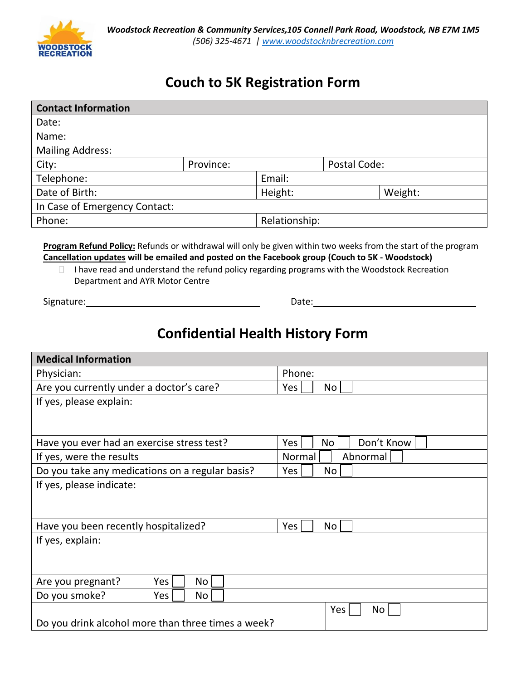

## **Couch to 5K Registration Form**

| <b>Contact Information</b>    |           |               |              |         |  |
|-------------------------------|-----------|---------------|--------------|---------|--|
| Date:                         |           |               |              |         |  |
| Name:                         |           |               |              |         |  |
| <b>Mailing Address:</b>       |           |               |              |         |  |
| City:                         | Province: |               | Postal Code: |         |  |
| Telephone:                    |           | Email:        |              |         |  |
| Date of Birth:                |           | Height:       |              | Weight: |  |
| In Case of Emergency Contact: |           |               |              |         |  |
| Phone:                        |           | Relationship: |              |         |  |

**Program Refund Policy:** Refunds or withdrawal will only be given within two weeks from the start of the program **Cancellation updates will be emailed and posted on the Facebook group (Couch to 5K - Woodstock)**

 $\Box$  I have read and understand the refund policy regarding programs with the Woodstock Recreation Department and AYR Motor Centre

Signature: Date:

## **Confidential Health History Form**

| <b>Medical Information</b>                         |           |                         |  |  |
|----------------------------------------------------|-----------|-------------------------|--|--|
| Physician:                                         |           | Phone:                  |  |  |
| Are you currently under a doctor's care?           |           | Yes<br>No               |  |  |
| If yes, please explain:                            |           |                         |  |  |
|                                                    |           |                         |  |  |
| Have you ever had an exercise stress test?         |           | Don't Know<br>No<br>Yes |  |  |
| If yes, were the results                           |           | Abnormal<br>Normal      |  |  |
| Do you take any medications on a regular basis?    |           | No<br>Yes               |  |  |
| If yes, please indicate:                           |           |                         |  |  |
|                                                    |           |                         |  |  |
| Have you been recently hospitalized?               |           | Yes<br>No               |  |  |
| If yes, explain:                                   |           |                         |  |  |
|                                                    |           |                         |  |  |
|                                                    |           |                         |  |  |
| Are you pregnant?                                  | Yes<br>No |                         |  |  |
| Do you smoke?                                      | Yes<br>No |                         |  |  |
|                                                    |           | Yes  <br>No             |  |  |
| Do you drink alcohol more than three times a week? |           |                         |  |  |